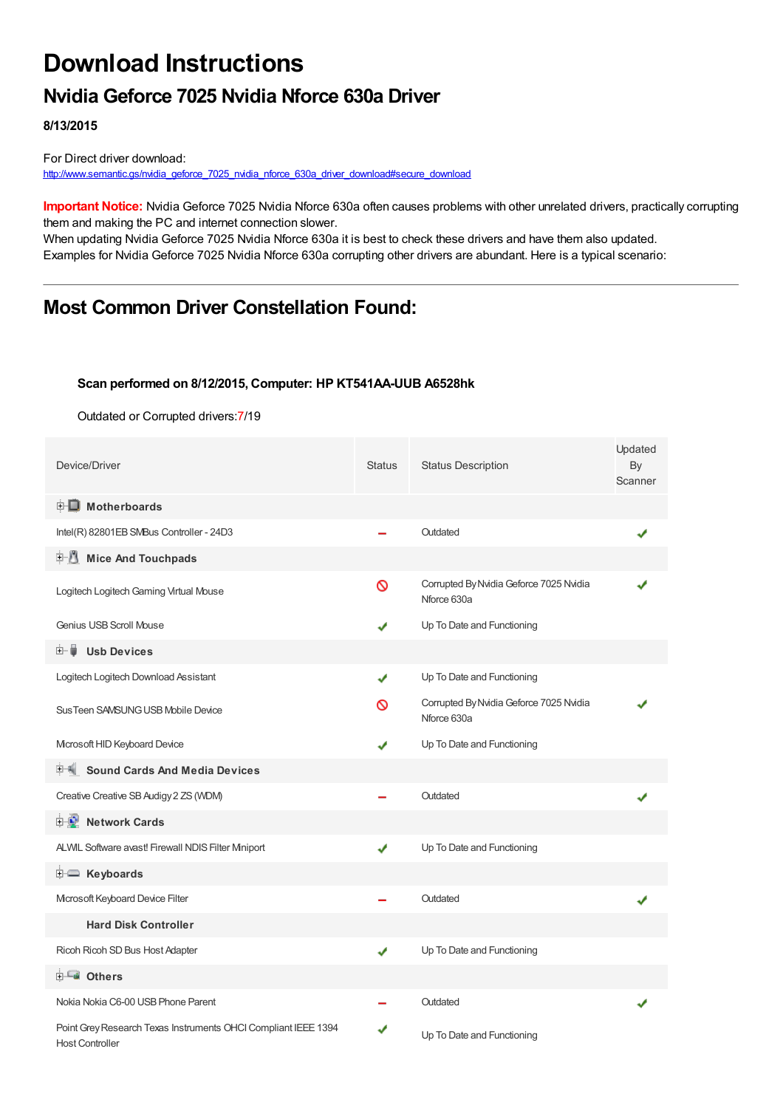# **Download Instructions**

### **Nvidia Geforce 7025 Nvidia Nforce 630a Driver**

**8/13/2015**

For Direct driver download: [http://www.semantic.gs/nvidia\\_geforce\\_7025\\_nvidia\\_nforce\\_630a\\_driver\\_download#secure\\_download](http://www.semantic.gs/nvidia_geforce_7025_nvidia_nforce_630a_driver_download#secure_download)

**Important Notice:** Nvidia Geforce 7025 Nvidia Nforce 630a often causes problems with other unrelated drivers, practically corrupting them and making the PC and internet connection slower.

When updating Nvidia Geforce 7025 Nvidia Nforce 630a it is best to check these drivers and have them also updated. Examples for Nvidia Geforce 7025 Nvidia Nforce 630a corrupting other drivers are abundant. Here is a typical scenario:

### **Most Common Driver Constellation Found:**

#### **Scan performed on 8/12/2015, Computer: HP KT541AA-UUB A6528hk**

Outdated or Corrupted drivers:7/19

| Device/Driver                                                                            | <b>Status</b> | <b>Status Description</b>                              | Updated<br>By<br>Scanner |
|------------------------------------------------------------------------------------------|---------------|--------------------------------------------------------|--------------------------|
| <b>E</b> Motherboards                                                                    |               |                                                        |                          |
| Intel(R) 82801EB SMBus Controller - 24D3                                                 |               | Outdated                                               |                          |
| <b>Mice And Touchpads</b><br>E-M                                                         |               |                                                        |                          |
| Logitech Logitech Gaming Virtual Mouse                                                   | Ø             | Corrupted By Nvidia Geforce 7025 Nvidia<br>Nforce 630a |                          |
| <b>Genius USB Scroll Mouse</b>                                                           | ✔             | Up To Date and Functioning                             |                          |
| 田一尊<br><b>Usb Devices</b>                                                                |               |                                                        |                          |
| Logitech Logitech Download Assistant                                                     | ✔             | Up To Date and Functioning                             |                          |
| Sus Teen SAMSUNG USB Mobile Device                                                       | ∾             | Corrupted By Nvidia Geforce 7025 Nvidia<br>Nforce 630a |                          |
| Mcrosoft HID Keyboard Device                                                             | ✔             | Up To Date and Functioning                             |                          |
| <b>Sound Cards And Media Devices</b>                                                     |               |                                                        |                          |
| Creative Creative SB Audigy 2 ZS (WDM)                                                   |               | Outdated                                               |                          |
| <b>D</b> Network Cards                                                                   |               |                                                        |                          |
| ALWIL Software avast! Firewall NDIS Filter Miniport                                      | ✔             | Up To Date and Functioning                             |                          |
| <b>E</b> Keyboards                                                                       |               |                                                        |                          |
| Mcrosoft Keyboard Device Filter                                                          |               | Outdated                                               |                          |
| <b>Hard Disk Controller</b>                                                              |               |                                                        |                          |
| Ricoh Ricoh SD Bus Host Adapter                                                          | ✔             | Up To Date and Functioning                             |                          |
| <b>E</b> Others                                                                          |               |                                                        |                          |
| Nokia Nokia C6-00 USB Phone Parent                                                       |               | Outdated                                               |                          |
| Point Grey Research Texas Instruments OHCI Compliant IEEE 1394<br><b>Host Controller</b> |               | Up To Date and Functioning                             |                          |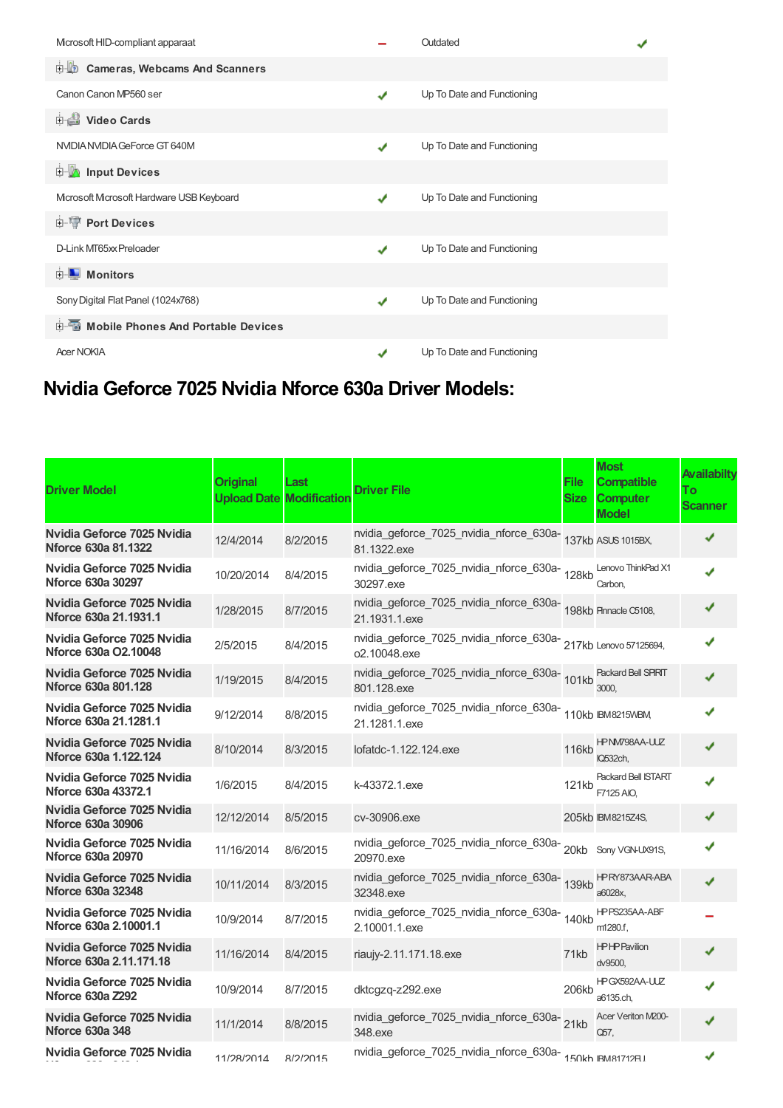| Microsoft HID-compliant apparaat              |                          | Outdated                   |  |
|-----------------------------------------------|--------------------------|----------------------------|--|
| D-10<br><b>Cameras, Webcams And Scanners</b>  |                          |                            |  |
| Canon Canon MP560 ser                         | ✔                        | Up To Date and Functioning |  |
| <b>Dideo Cards</b>                            |                          |                            |  |
| NVIDIA NVIDIA GeForce GT 640M                 | $\mathcal{L}$            | Up To Date and Functioning |  |
| <b>E</b> Input Devices                        |                          |                            |  |
| Microsoft Microsoft Hardware USB Keyboard     | ✔                        | Up To Date and Functioning |  |
| <b>E-T</b> Port Devices                       |                          |                            |  |
| D-Link MT65xx Preloader                       | ✔                        | Up To Date and Functioning |  |
| Monitors<br>直…                                |                          |                            |  |
| Sony Digital Flat Panel (1024x768)            | $\checkmark$             | Up To Date and Functioning |  |
| <b>E-6</b> Mobile Phones And Portable Devices |                          |                            |  |
| <b>Acer NOKIA</b>                             | $\overline{\mathcal{L}}$ | Up To Date and Functioning |  |

## **Nvidia Geforce 7025 Nvidia Nforce 630a Driver Models:**

| <b>Driver Model</b>                                    | <b>Original</b><br><b>Upload Date Modification</b> | Last     | <b>Driver File</b>                                                                | File<br><b>Size</b> | <b>Most</b><br><b>Compatible</b><br><b>Computer</b><br><b>Model</b> | Availabilty<br>To<br>Scanner |
|--------------------------------------------------------|----------------------------------------------------|----------|-----------------------------------------------------------------------------------|---------------------|---------------------------------------------------------------------|------------------------------|
| Nvidia Geforce 7025 Nvidia<br>Nforce 630a 81.1322      | 12/4/2014                                          | 8/2/2015 | nvidia_geforce_7025_nvidia_nforce_630a-<br>137kb ASUS 1015BX,<br>81.1322.exe      |                     |                                                                     | ✔                            |
| Nvidia Geforce 7025 Nvidia<br>Nforce 630a 30297        | 10/20/2014                                         | 8/4/2015 | nvidia_geforce_7025_nvidia_nforce_630a-<br>128kb<br>30297.exe                     |                     | Lenovo ThinkPad X1<br>Carbon,                                       | ✔                            |
| Nvidia Geforce 7025 Nvidia<br>Nforce 630a 21.1931.1    | 1/28/2015                                          | 8/7/2015 | nvidia_geforce_7025_nvidia_nforce_630a-<br>198kb Pinnacle C5108,<br>21.1931.1.exe |                     |                                                                     | ✔                            |
| Nvidia Geforce 7025 Nvidia<br>Nforce 630a O2.10048     | 2/5/2015                                           | 8/4/2015 | nvidia_geforce_7025_nvidia_nforce_630a-217kb Lenovo 57125694,<br>o2.10048.exe     |                     |                                                                     |                              |
| Nvidia Geforce 7025 Nvidia<br>Nforce 630a 801.128      | 1/19/2015                                          | 8/4/2015 | nvidia_geforce_7025_nvidia_nforce_630a-<br>01kb sees<br>801.128.exe               |                     | 3000                                                                |                              |
| Nvidia Geforce 7025 Nvidia<br>Nforce 630a 21.1281.1    | 9/12/2014                                          | 8/8/2015 | nvidia_geforce_7025_nvidia_nforce_630a-<br>110kb BM8215WBM<br>21.1281.1.exe       |                     |                                                                     |                              |
| Nvidia Geforce 7025 Nvidia<br>Nforce 630a 1.122.124    | 8/10/2014                                          | 8/3/2015 | lofatdc-1.122.124.exe                                                             | 116kb               | HPNM798AA-UUZ<br>IQ532ch,                                           |                              |
| Nvidia Geforce 7025 Nvidia<br>Nforce 630a 43372.1      | 1/6/2015                                           | 8/4/2015 | k-43372.1.exe                                                                     | 121kb               | <b>Packard Bell ISTART</b><br>F7125 AIO.                            |                              |
| Nvidia Geforce 7025 Nvidia<br>Nforce 630a 30906        | 12/12/2014                                         | 8/5/2015 | cv-30906.exe                                                                      |                     | 205kb IBM8215Z4S,                                                   |                              |
| Nvidia Geforce 7025 Nvidia<br>Nforce 630a 20970        | 11/16/2014                                         | 8/6/2015 | nvidia_geforce_7025_nvidia_nforce_630a-<br>20kb Sony VGN-UX91S,<br>20970.exe      |                     |                                                                     |                              |
| Nvidia Geforce 7025 Nvidia<br><b>Nforce 630a 32348</b> | 10/11/2014                                         | 8/3/2015 | nvidia_geforce_7025_nvidia_nforce_630a-<br>139kb<br>32348.exe                     |                     | HPRY873AAR-ABA<br>a6028x.                                           |                              |
| Nvidia Geforce 7025 Nvidia<br>Nforce 630a 2.10001.1    | 10/9/2014                                          | 8/7/2015 | nvidia_geforce_7025_nvidia_nforce_630a-<br>140kb<br>2.10001.1.exe                 |                     | HPPS235AA-ABF<br>m1280.f.                                           |                              |
| Nvidia Geforce 7025 Nvidia<br>Nforce 630a 2.11.171.18  | 11/16/2014                                         | 8/4/2015 | riaujy-2.11.171.18.exe                                                            | 71kb                | <b>HPHPPavilion</b><br>dv9500,                                      |                              |
| Nvidia Geforce 7025 Nvidia<br><b>Nforce 630a Z292</b>  | 10/9/2014                                          | 8/7/2015 | dktcgzq-z292.exe                                                                  | 206kb               | HPGX592AA-UUZ<br>a6135.ch,                                          |                              |
| Nvidia Geforce 7025 Nvidia<br><b>Nforce 630a 348</b>   | 11/1/2014                                          | 8/8/2015 | nvidia_geforce_7025_nvidia_nforce_630a-<br>21kb<br>348.exe                        |                     | Acer Veriton M200-<br>Q57,                                          |                              |
| Nvidia Geforce 7025 Nvidia                             | 11/28/2014                                         | 8/2/2015 | nvidia_geforce_7025_nvidia_nforce_630a-150kh IBM81712R I                          |                     |                                                                     |                              |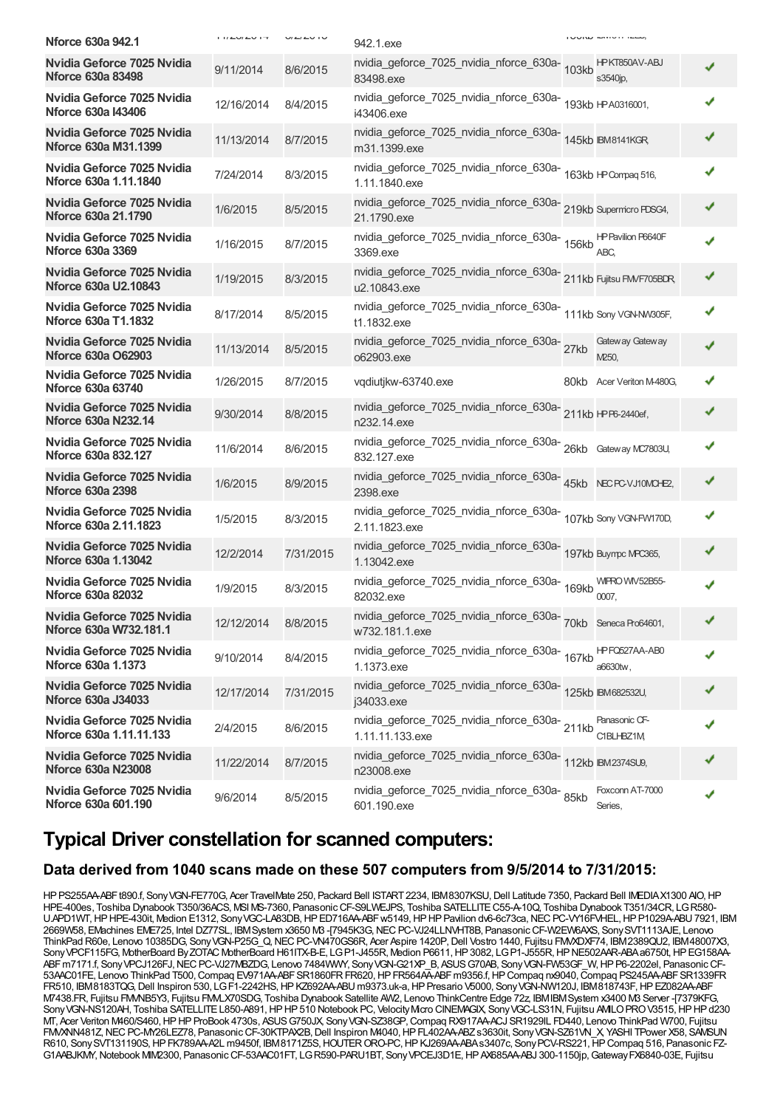| Nforce 630a 942.1                                        | 1122221             | $U1 - L1 - U1$ | 942.1.exe                                                                            | <b>UUINU ILIVIU II ILLU</b>      |   |
|----------------------------------------------------------|---------------------|----------------|--------------------------------------------------------------------------------------|----------------------------------|---|
| Nvidia Geforce 7025 Nvidia<br><b>Nforce 630a 83498</b>   | 9/11/2014           | 8/6/2015       | nvidia_geforce_7025_nvidia_nforce_630a-<br>103kb<br>83498.exe                        | <b>HPKT850AV-ABJ</b><br>s3540jp, |   |
| Nvidia Geforce 7025 Nvidia<br><b>Nforce 630a I43406</b>  | 12/16/2014          | 8/4/2015       | nvidia_geforce_7025_nvidia_nforce_630a-<br>193kb HPA0316001,<br>i43406.exe           |                                  |   |
| Nvidia Geforce 7025 Nvidia<br>Nforce 630a M31.1399       | 11/13/2014          | 8/7/2015       | nvidia_geforce_7025_nvidia_nforce_630a- 145kb IBM8141KGR<br>m31.1399.exe             |                                  |   |
| Nvidia Geforce 7025 Nvidia<br>Nforce 630a 1.11.1840      | 7/24/2014           | 8/3/2015       | nvidia_geforce_7025_nvidia_nforce_630a-<br>163kb HP Compaq 516,<br>1.11.1840.exe     |                                  |   |
| Nvidia Geforce 7025 Nvidia<br>Nforce 630a 21.1790        | 1/6/2015            | 8/5/2015       | nvidia_geforce_7025_nvidia_nforce_630a-219kb Supernicro PDSG4,<br>21.1790.exe        |                                  |   |
| Nvidia Geforce 7025 Nvidia<br>Nforce 630a 3369           | 1/16/2015           | 8/7/2015       | nvidia_geforce_7025_nvidia_nforce_630a-<br>156kb<br>3369.exe                         | HP Pavilion P6640F<br>ABC.       |   |
| Nvidia Geforce 7025 Nvidia<br>Nforce 630a U2.10843       | 1/19/2015           | 8/3/2015       | nvidia_geforce_7025_nvidia_nforce_630a-<br>211kb Fujitsu FMVF705BDR,<br>u2.10843.exe |                                  |   |
| Nvidia Geforce 7025 Nvidia<br>Nforce 630a T1.1832        | 8/17/2014           | 8/5/2015       | nvidia_geforce_7025_nvidia_nforce_630a- 111kb Sony VGN-NW305F,<br>t1.1832.exe        |                                  |   |
| Nvidia Geforce 7025 Nvidia<br><b>Nforce 630a O62903</b>  | 11/13/2014          | 8/5/2015       | nvidia_geforce_7025_nvidia_nforce_630a-27kb<br>o62903.exe                            | Gateway Gateway<br>M250.         |   |
| Nvidia Geforce 7025 Nvidia<br>Nforce 630a 63740          | 1/26/2015           | 8/7/2015       | vgdiutikw-63740.exe                                                                  | 80kb Acer Veriton M-480G.        |   |
| Nvidia Geforce 7025 Nvidia<br><b>Nforce 630a N232.14</b> | 9/30/2014           | 8/8/2015       | nvidia_geforce_7025_nvidia_nforce_630a-211kb HPF6-2440ef,<br>n232.14.exe             |                                  |   |
| Nvidia Geforce 7025 Nvidia<br>Nforce 630a 832.127        | 11/6/2014           | 8/6/2015       | nvidia_geforce_7025_nvidia_nforce_630a-<br>26kb Gateway MC7803U,<br>832.127.exe      |                                  |   |
| Nvidia Geforce 7025 Nvidia<br><b>Nforce 630a 2398</b>    | 1/6/2015            | 8/9/2015       | nvidia_geforce_7025_nvidia_nforce_630a-45kb NECPCVJ10MCHE2,<br>2398.exe              |                                  |   |
| Nvidia Geforce 7025 Nvidia<br>Nforce 630a 2.11.1823      | 1/5/2015            | 8/3/2015       | nvidia_geforce_7025_nvidia_nforce_630a- 107kb Sony VGN-FW170D,<br>2.11.1823.exe      |                                  |   |
| Nvidia Geforce 7025 Nvidia<br>Nforce 630a 1.13042        | 12/2/2014           | 7/31/2015      | nvidia_geforce_7025_nvidia_nforce_630a-<br>197kb Buympc MPC365,<br>1.13042.exe       |                                  |   |
| Nvidia Geforce 7025 Nvidia<br><b>Nforce 630a 82032</b>   | 1/9/2015            | 8/3/2015       | nvidia_geforce_7025_nvidia_nforce_630a- 169kb<br>82032.exe                           | WIPRO WIV52B55-<br>0007.         |   |
| Nvidia Geforce 7025 Nvidia<br>Nforce 630a W732.181.1     | 12/12/2014 8/8/2015 |                | nvidia_geforce_7025_nvidia_nforce_630a-<br>70kb Seneca Pro64601,<br>w732.181.1.exe   |                                  |   |
| Nvidia Geforce 7025 Nvidia<br>Nforce 630a 1.1373         | 9/10/2014           | 8/4/2015       | nvidia_geforce_7025_nvidia_nforce_630a-<br>167kb<br>1.1373.exe                       | HPFQ527AA-AB0<br>a6630tw,        |   |
| Nvidia Geforce 7025 Nvidia<br><b>Nforce 630a J34033</b>  | 12/17/2014          | 7/31/2015      | nvidia_geforce_7025_nvidia_nforce_630a- 125kb IBM682532U,<br>j34033.exe              |                                  | ✔ |
| Nvidia Geforce 7025 Nvidia<br>Nforce 630a 1.11.11.133    | 2/4/2015            | 8/6/2015       | nvidia_geforce_7025_nvidia_nforce_630a-211kb<br>1.11.11.133.exe                      | Panasonic CF-<br>C1BLHBZ1M       |   |
| Nvidia Geforce 7025 Nvidia<br><b>Nforce 630a N23008</b>  | 11/22/2014          | 8/7/2015       | nvidia_geforce_7025_nvidia_nforce_630a-<br>112kb IBM2374SU9,<br>n23008.exe           |                                  |   |
| Nvidia Geforce 7025 Nvidia<br>Nforce 630a 601.190        | 9/6/2014            | 8/5/2015       | nvidia_geforce_7025_nvidia_nforce_630a-85kb<br>601.190.exe                           | Foxconn AT-7000<br>Series,       |   |

### **Typical Driver constellation for scanned computers:**

#### **Data derived from 1040 scans made on these 507 computers from 9/5/2014 to 7/31/2015:**

HPPS255AA-ABFt890.f, SonyVGN-FE770G, Acer TravelMate 250, Packard Bell ISTART2234, IBM8307KSU,Dell Latitude 7350, Packard Bell IMEDIAX1300 AIO,HP HPE-400es, Toshiba Dynabook T350/36ACS, MSI MS-7360, PanasonicCF-S9LWEJPS, Toshiba SATELLITEC55-A-10Q, Toshiba Dynabook T351/34CR, LGR580- U.APD1WT, HP HPE-430it, Medion E1312, Sony VGC-LA83DB, HP ED716AA-ABFw5149, HP HP Pavilion dv6-6c73ca, NEC PC-VY16FVHEL, HP P1029A-ABU 7921, IBM 2669W58, EMachines EME725, Intel DZ77SL, IBMSystem x3650 M3 -[7945K3G,NECPC-VJ24LLNVHT8B, PanasonicCF-W2EW6AXS, SonySVT1113AJE, Lenovo ThinkPad R60e, Lenovo 10385DG, Sony VGN-P25G\_Q, NEC PC-VN470GS6R, Acer Aspire 1420P, Dell Vostro 1440, Fujitsu FMXDXF74, IBM2389QU2, IBM48007X3, Sony VPCF115FG, MotherBoard By ZOTAC MotherBoard H61ITX-B-E, LGP1-J455R, Medion P6611, HP 3082, LGP1-J555R, HP NE502AAR-ABA a6750t, HP EG158AA-ABFm7171.f, SonyVPCJ126FJ,NECPC-VJ27MBZDG, Lenovo 7484WWY, SonyVGN-G21XP\_B, ASUSG70AB, SonyVGN-FW53GF\_W,HPP6-2202el, PanasonicCF-53AAC01FE, Lenovo ThinkPad T500,Compaq EV971AA-ABFSR1860FRFR620,HPFR564AA-ABFm9356.f,HPCompaq nx9040,Compaq PS245AA-ABFSR1339FR FR510, IBM8183TQG,Dell Inspiron 530, LGF1-2242HS,HPKZ692AA-ABU m9373.uk-a,HPPresario V5000, SonyVGN-NW120J, IBM818743F,HPEZ082AA-ABF M7438.FR, Fujitsu FMVNB5Y3, Fujitsu FMVLX70SDG, Toshiba Dynabook Satellite AW2, Lenovo ThinkCentre Edge 72z, IBMIBMSystem x3400 M3 Server -[7379KFG, Sony VGN-NS120AH, Toshiba SATELLITE L850-A891, HP HP 510 Notebook PC, Velocity Mcro CINEMAGIX, Sony VGC-LS31N, Fujitsu AMILO PRO V3515, HP HP d230 MT, Acer Veriton M460/S460,HPHPProBook 4730s, ASUSG750JX, SonyVGN-SZ38GP,Compaq RX917AA-ACJ SR1929IL FD440, Lenovo ThinkPad W700, Fujitsu FM/XNN481Z, NEC PC-MY26LEZ78, Panasonic CF-30KTPAX2B, Dell Inspiron M4040, HP FL402AA-ABZ s3630it, Sony VGN-SZ61VN\_X, YASHI TPower X58, SAVSUN R610, SonySVT131190S,HPFK789AA-A2L m9450f, IBM8171Z5S,HOUTERORO-PC,HPKJ269AA-ABAs3407c, SonyPCV-RS221,HPCompaq 516, Panasonic FZ-G1AABJKMY, Notebook MM2300, Panasonic CF-53AAC01FT, LGR590-PARU1BT, Sony VPCEJ3D1E, HP AX685AA-ABJ 300-1150jp, Gateway FX6840-03E, Fujitsu